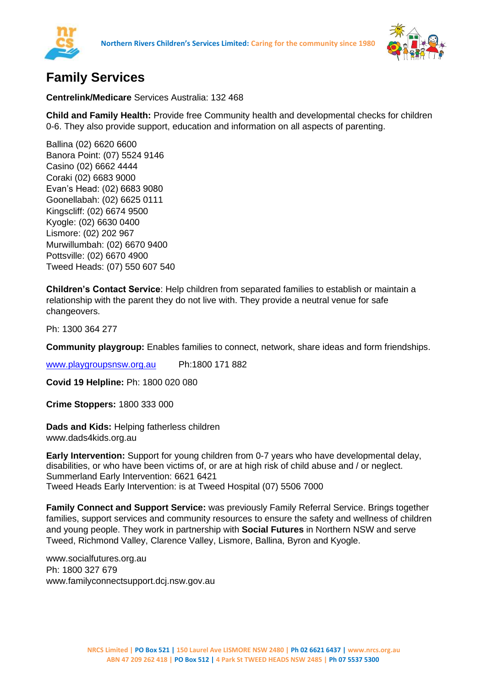



## **Family Services**

**Centrelink/Medicare** Services Australia: 132 468

**Child and Family Health:** Provide free Community health and developmental checks for children 0-6. They also provide support, education and information on all aspects of parenting.

Ballina (02) 6620 6600 Banora Point: (07) 5524 9146 Casino (02) 6662 4444 Coraki (02) 6683 9000 Evan's Head: (02) 6683 9080 Goonellabah: (02) 6625 0111 Kingscliff: (02) 6674 9500 Kyogle: (02) 6630 0400 Lismore: (02) 202 967 Murwillumbah: (02) 6670 9400 Pottsville: (02) 6670 4900 Tweed Heads: (07) 550 607 540

**Children's Contact Service**: Help children from separated families to establish or maintain a relationship with the parent they do not live with. They provide a neutral venue for safe changeovers.

Ph: 1300 364 277

**Community playgroup:** Enables families to connect, network, share ideas and form friendships.

[www.playgroupsnsw.org.au](http://www.playgroupsnsw.org.au/) Ph:1800 171 882

**Covid 19 Helpline:** Ph: 1800 020 080

**Crime Stoppers:** 1800 333 000

**Dads and Kids:** Helping fatherless children www.dads4kids.org.au

**Early Intervention:** Support for young children from 0-7 years who have developmental delay, disabilities, or who have been victims of, or are at high risk of child abuse and / or neglect. Summerland Early Intervention: 6621 6421 Tweed Heads Early Intervention: is at Tweed Hospital (07) 5506 7000

**Family Connect and Support Service:** was previously Family Referral Service. Brings together families, support services and community resources to ensure the safety and wellness of children and young people. They work in partnership with **Social Futures** in Northern NSW and serve Tweed, Richmond Valley, Clarence Valley, Lismore, Ballina, Byron and Kyogle.

www.socialfutures.org.au Ph: 1800 327 679 www.familyconnectsupport.dcj.nsw.gov.au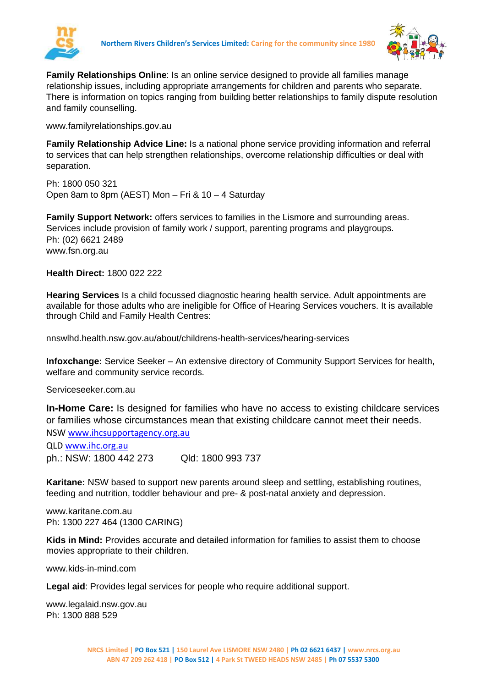



**Family Relationships Online**: Is an online service designed to provide all families manage relationship issues, including appropriate arrangements for children and parents who separate. There is information on topics ranging from building better relationships to family dispute resolution and family counselling.

www.familyrelationships.gov.au

**Family Relationship Advice Line:** Is a national phone service providing information and referral to services that can help strengthen relationships, overcome relationship difficulties or deal with separation.

Ph: 1800 050 321 Open 8am to 8pm (AEST) Mon – Fri & 10 – 4 Saturday

**Family Support Network:** offers services to families in the Lismore and surrounding areas. Services include provision of family work / support, parenting programs and playgroups. Ph: (02) 6621 2489 www.fsn.org.au

**Health Direct:** 1800 022 222

**Hearing Services** Is a child focussed diagnostic hearing health service. Adult appointments are available for those adults who are ineligible for Office of Hearing Services vouchers. It is available through Child and Family Health Centres:

nnswlhd.health.nsw.gov.au/about/childrens-health-services/hearing-services

**Infoxchange:** Service Seeker – An extensive directory of Community Support Services for health, welfare and community service records.

Serviceseeker.com.au

**In-Home Care:** Is designed for families who have no access to existing childcare services or families whose circumstances mean that existing childcare cannot meet their needs. NSW [www.ihcsupportagency.org.au](http://www.ihcsupportagency.org.au/)

QLD [www.ihc.org.au](http://www.ihc.org.au/) ph.: NSW: 1800 442 273 Qld: 1800 993 737

**Karitane:** NSW based to support new parents around sleep and settling, establishing routines, feeding and nutrition, toddler behaviour and pre- & post-natal anxiety and depression.

www.karitane.com.au Ph: 1300 227 464 (1300 CARING)

**Kids in Mind:** Provides accurate and detailed information for families to assist them to choose movies appropriate to their children.

www.kids-in-mind.com

**Legal aid**: Provides legal services for people who require additional support.

www.legalaid.nsw.gov.au Ph: 1300 888 529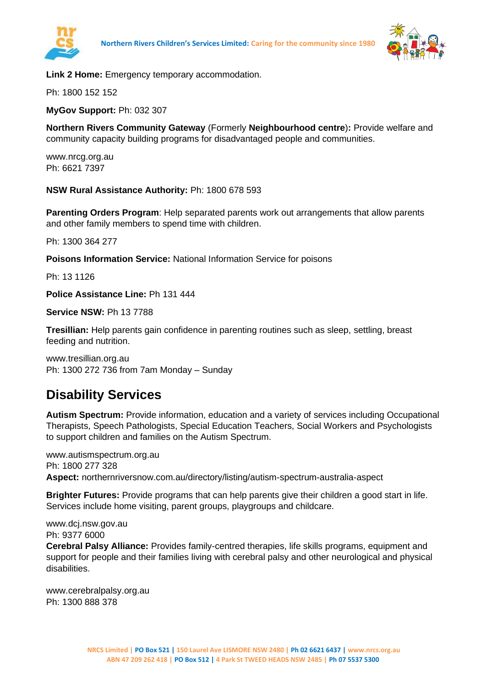



**Link 2 Home:** Emergency temporary accommodation.

Ph: 1800 152 152

**MyGov Support:** Ph: 032 307

**Northern Rivers Community Gateway** (Formerly **Neighbourhood centre**)**:** Provide welfare and community capacity building programs for disadvantaged people and communities.

www.nrcg.org.au Ph: 6621 7397

**NSW Rural Assistance Authority:** Ph: 1800 678 593

**Parenting Orders Program**: Help separated parents work out arrangements that allow parents and other family members to spend time with children.

Ph: 1300 364 277

**Poisons Information Service:** National Information Service for poisons

Ph: 13 1126

**Police Assistance Line:** Ph 131 444

**Service NSW:** Ph 13 7788

**Tresillian:** Help parents gain confidence in parenting routines such as sleep, settling, breast feeding and nutrition.

www.tresillian.org.au Ph: 1300 272 736 from 7am Monday – Sunday

## **Disability Services**

**Autism Spectrum:** Provide information, education and a variety of services including Occupational Therapists, Speech Pathologists, Special Education Teachers, Social Workers and Psychologists to support children and families on the Autism Spectrum.

www.autismspectrum.org.au Ph: 1800 277 328 **Aspect:** northernriversnow.com.au/directory/listing/autism-spectrum-australia-aspect

**Brighter Futures:** Provide programs that can help parents give their children a good start in life. Services include home visiting, parent groups, playgroups and childcare.

www.dcj.nsw.gov.au Ph: 9377 6000

**Cerebral Palsy Alliance:** Provides family-centred therapies, life skills programs, equipment and support for people and their families living with cerebral palsy and other neurological and physical disabilities.

www.cerebralpalsy.org.au Ph: 1300 888 378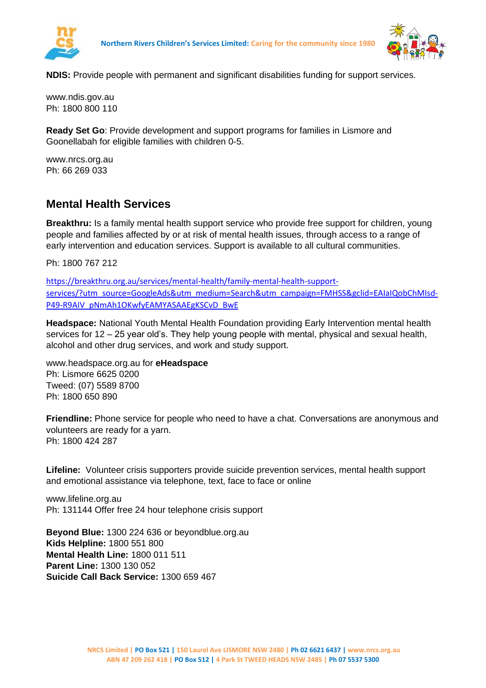



**NDIS:** Provide people with permanent and significant disabilities funding for support services.

www.ndis.gov.au Ph: 1800 800 110

**Ready Set Go**: Provide development and support programs for families in Lismore and Goonellabah for eligible families with children 0-5.

www.nrcs.org.au Ph: 66 269 033

## **Mental Health Services**

**Breakthru:** Is a family mental health support service who provide free support for children, young people and families affected by or at risk of mental health issues, through access to a range of early intervention and education services. Support is available to all cultural communities.

Ph: 1800 767 212

[https://breakthru.org.au/services/mental-health/family-mental-health-support](https://breakthru.org.au/services/mental-health/family-mental-health-support-services/?utm_source=GoogleAds&utm_medium=Search&utm_campaign=FMHSS&gclid=EAIaIQobChMIsd-P49-R9AIV_pNmAh1OKwfyEAMYASAAEgKSCvD_BwE)[services/?utm\\_source=GoogleAds&utm\\_medium=Search&utm\\_campaign=FMHSS&gclid=EAIaIQobChMIsd-](https://breakthru.org.au/services/mental-health/family-mental-health-support-services/?utm_source=GoogleAds&utm_medium=Search&utm_campaign=FMHSS&gclid=EAIaIQobChMIsd-P49-R9AIV_pNmAh1OKwfyEAMYASAAEgKSCvD_BwE)[P49-R9AIV\\_pNmAh1OKwfyEAMYASAAEgKSCvD\\_BwE](https://breakthru.org.au/services/mental-health/family-mental-health-support-services/?utm_source=GoogleAds&utm_medium=Search&utm_campaign=FMHSS&gclid=EAIaIQobChMIsd-P49-R9AIV_pNmAh1OKwfyEAMYASAAEgKSCvD_BwE)

**Headspace:** National Youth Mental Health Foundation providing Early Intervention mental health services for 12 – 25 year old's. They help young people with mental, physical and sexual health, alcohol and other drug services, and work and study support.

www.headspace.org.au for **eHeadspace** Ph: Lismore 6625 0200 Tweed: (07) 5589 8700 Ph: 1800 650 890

**Friendline:** Phone service for people who need to have a chat. Conversations are anonymous and volunteers are ready for a yarn. Ph: 1800 424 287

**Lifeline:** Volunteer crisis supporters provide suicide prevention services, mental health support and emotional assistance via telephone, text, face to face or online

www.lifeline.org.au Ph: 131144 Offer free 24 hour telephone crisis support

**Beyond Blue:** 1300 224 636 or beyondblue.org.au **Kids Helpline:** 1800 551 800 **Mental Health Line:** 1800 011 511 **Parent Line:** 1300 130 052 **Suicide Call Back Service:** 1300 659 467